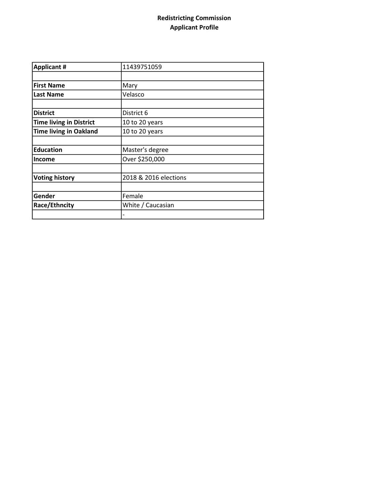## Redistricting Commission Applicant Profile

| <b>Applicant #</b>             | 11439751059           |
|--------------------------------|-----------------------|
|                                |                       |
| <b>First Name</b>              | Mary                  |
| <b>Last Name</b>               | Velasco               |
|                                |                       |
| <b>District</b>                | District 6            |
| <b>Time living in District</b> | 10 to 20 years        |
| <b>Time living in Oakland</b>  | 10 to 20 years        |
|                                |                       |
| <b>Education</b>               | Master's degree       |
| <b>Income</b>                  | Over \$250,000        |
|                                |                       |
| <b>Voting history</b>          | 2018 & 2016 elections |
|                                |                       |
| Gender                         | Female                |
| Race/Ethncity                  | White / Caucasian     |
|                                |                       |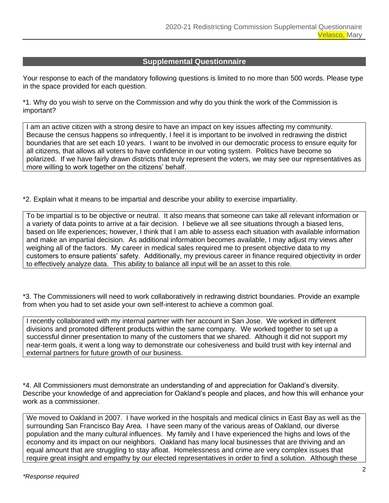## **Supplemental Questionnaire**

Your response to each of the mandatory following questions is limited to no more than 500 words. Please type in the space provided for each question.

\*1. Why do you wish to serve on the Commission and why do you think the work of the Commission is important?

I am an active citizen with a strong desire to have an impact on key issues affecting my community. Because the census happens so infrequently, I feel it is important to be involved in redrawing the district boundaries that are set each 10 years. I want to be involved in our democratic process to ensure equity for all citizens, that allows all voters to have confidence in our voting system. Politics have become so polarized. If we have fairly drawn districts that truly represent the voters, we may see our representatives as more willing to work together on the citizens' behalf.

\*2. Explain what it means to be impartial and describe your ability to exercise impartiality.

To be impartial is to be objective or neutral. It also means that someone can take all relevant information or a variety of data points to arrive at a fair decision. I believe we all see situations through a biased lens, based on life experiences; however, I think that I am able to assess each situation with available information and make an impartial decision. As additional information becomes available, I may adjust my views after weighing all of the factors. My career in medical sales required me to present objective data to my customers to ensure patients' safety. Additionally, my previous career in finance required objectivity in order to effectively analyze data. This ability to balance all input will be an asset to this role.

\*3. The Commissioners will need to work collaboratively in redrawing district boundaries. Provide an example from when you had to set aside your own self-interest to achieve a common goal.

I recently collaborated with my internal partner with her account in San Jose. We worked in different divisions and promoted different products within the same company. We worked together to set up a successful dinner presentation to many of the customers that we shared. Although it did not support my near-term goals, it went a long way to demonstrate our cohesiveness and build trust with key internal and external partners for future growth of our business.

\*4. All Commissioners must demonstrate an understanding of and appreciation for Oakland's diversity. Describe your knowledge of and appreciation for Oakland's people and places, and how this will enhance your work as a commissioner.

We moved to Oakland in 2007. I have worked in the hospitals and medical clinics in East Bay as well as the surrounding San Francisco Bay Area. I have seen many of the various areas of Oakland, our diverse population and the many cultural influences. My family and I have experienced the highs and lows of the economy and its impact on our neighbors. Oakland has many local businesses that are thriving and an equal amount that are struggling to stay afloat. Homelessness and crime are very complex issues that require great insight and empathy by our elected representatives in order to find a solution. Although these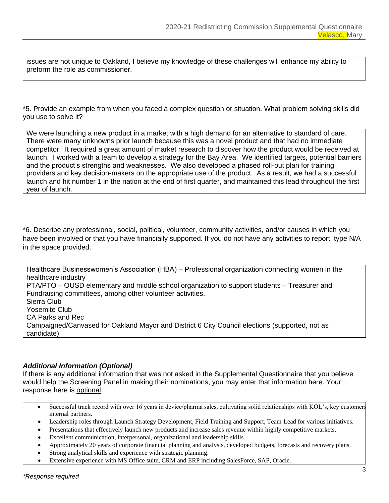issues are not unique to Oakland, I believe my knowledge of these challenges will enhance my ability to preform the role as commissioner.

\*5. Provide an example from when you faced a complex question or situation. What problem solving skills did you use to solve it?

We were launching a new product in a market with a high demand for an alternative to standard of care. There were many unknowns prior launch because this was a novel product and that had no immediate competitor. It required a great amount of market research to discover how the product would be received at launch. I worked with a team to develop a strategy for the Bay Area. We identified targets, potential barriers and the product's strengths and weaknesses. We also developed a phased roll-out plan for training providers and key decision-makers on the appropriate use of the product. As a result, we had a successful launch and hit number 1 in the nation at the end of first quarter, and maintained this lead throughout the first year of launch.

\*6. Describe any professional, social, political, volunteer, community activities, and/or causes in which you have been involved or that you have financially supported. If you do not have any activities to report, type N/A in the space provided.

Healthcare Businesswomen's Association (HBA) – Professional organization connecting women in the healthcare industry PTA/PTO – OUSD elementary and middle school organization to support students – Treasurer and Fundraising committees, among other volunteer activities. Sierra Club Yosemite Club CA Parks and Rec Campaigned/Canvased for Oakland Mayor and District 6 City Council elections (supported, not as candidate)

## *Additional Information (Optional)*

If there is any additional information that was not asked in the Supplemental Questionnaire that you believe would help the Screening Panel in making their nominations, you may enter that information here. Your response here is optional.

- Successful track record with over 16 years in device/pharma sales, cultivating solid relationships with KOL's, key customers internal partners.
- Leadership roles through Launch Strategy Development, Field Training and Support, Team Lead for various initiatives.
- Presentations that effectively launch new products and increase sales revenue within highly competitive markets.
- Excellent communication, interpersonal, organizational and leadership skills.
- Approximately 20 years of corporate financial planning and analysis, developed budgets, forecasts and recovery plans.
- Strong analytical skills and experience with strategic planning.
- Extensive experience with MS Office suite, CRM and ERP including SalesForce, SAP, Oracle.